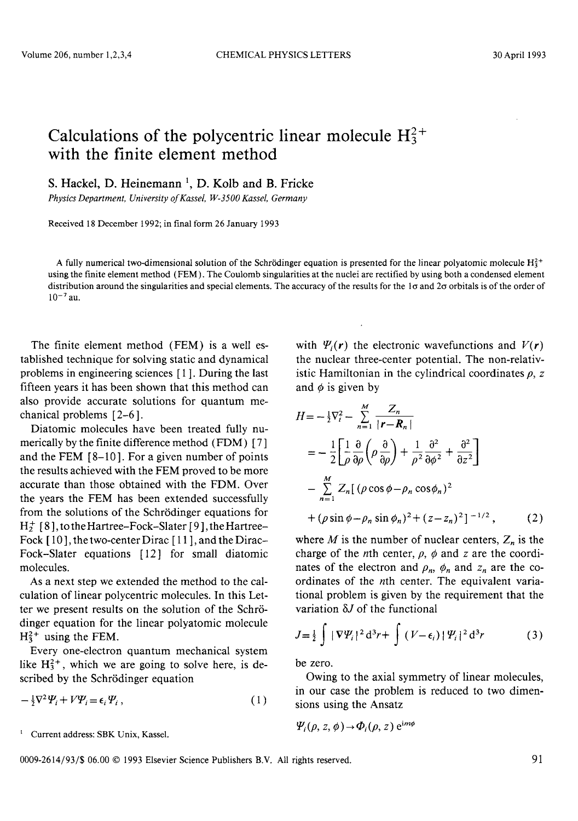## Calculations of the polycentric linear molecule  $H_3^{2+}$ with the finite element method

S. Hackel, D. Heinemann<sup>1</sup>, D. Kolb and B. Fricke

*Physics Department, University of Kassel, W-3500 Kassel, Germany* 

Received 18 December 1992; in final form 26 January 1993

A fully numerical two-dimensional solution of the Schrödinger equation is presented for the linear polyatomic molecule  $H_3^2$ + using the finite element method (FEM). The Coulomb singularities at the nuclei are rectified by using both a condensed element distribution around the singularities and special elements. The accuracy of the results for the 10 and 20 orbitals is of the order of  $10^{-7}$  au.

The finite element method (FEM) is a well established technique for solving static and dynamical problems in engineering sciences [1]. During the last fifteen years it has been shown that this method can also provide accurate solutions for quantum mechanical problems [2-6].

Diatomic molecules have been treated fully numerically by the finite difference method (FDM) [7] and the FEM [8-10]. For a given number of points the results achieved with the FEM proved to be more accurate than those obtained with the FDM. Over the years the FEM has been extended successfully from the solutions of the Schrödinger equations for  $H_2^+$  [8], to the Hartree-Fock-Slater [9], the Hartree-Fock [10], the two-center Dirac [11], and the Dirac-Fock-Slater equations [12] for small diatomic molecules.

As a next step we extended the method to the calculation of linear polycentric molecules. In this Letter we present results on the solution of the Schrödinger equation for the linear polyatomic molecule  $H_3^{2+}$  using the FEM.

Every one-electron quantum mechanical system like  $H_3^2$ <sup>+</sup>, which we are going to solve here, is described by the Schrödinger equation

$$
-\frac{1}{2}\nabla^2\Psi_i + V\Psi_i = \epsilon_i\Psi_i, \qquad (1)
$$

<sup>1</sup> Current address: SBK Unix, Kassel.

with  $\Psi_i(r)$  the electronic wavefunctions and  $V(r)$ the nuclear three-center potential. The non-relativistic Hamiltonian in the cylindrical coordinates  $\rho$ , z and  $\phi$  is given by

$$
H = -\frac{1}{2}\nabla_i^2 - \sum_{n=1}^M \frac{Z_n}{|\mathbf{r} - \mathbf{R}_n|}
$$
  
\n
$$
= -\frac{1}{2}\left[\frac{1}{\rho}\frac{\partial}{\partial \rho}\left(\rho\frac{\partial}{\partial \rho}\right) + \frac{1}{\rho^2}\frac{\partial^2}{\partial \phi^2} + \frac{\partial^2}{\partial z^2}\right]
$$
  
\n
$$
- \sum_{n=1}^M Z_n[(\rho\cos\phi - \rho_n\cos\phi_n)^2
$$
  
\n
$$
+(\rho\sin\phi - \rho_n\sin\phi_n)^2 + (z - z_n)^2]^{-1/2}, \qquad (2)
$$

where  $M$  is the number of nuclear centers,  $Z_n$  is the charge of the *n*th center,  $\rho$ ,  $\phi$  and *z* are the coordinates of the electron and  $\rho_n$ ,  $\phi_n$  and  $z_n$  are the coordinates of the nth center. The equivalent variational problem is given by the requirement that the variation  $\delta J$  of the functional

$$
J = \frac{1}{2} \int |\nabla \Psi_i|^2 d^3 r + \int (V - \epsilon_i) |\Psi_i|^2 d^3 r \tag{3}
$$

be zero.

Owing to the axial symmetry of linear molecules, in our case the problem is reduced to two dimensions using the Ansatz

$$
\varPsi_i(\rho, z, \phi) \rightarrow \varPhi_i(\rho, z) e^{im\phi}
$$

0009-2614/93/\$ 06.00 © 1993 Elsevier Science Publishers B.Y. All rights reserved. 91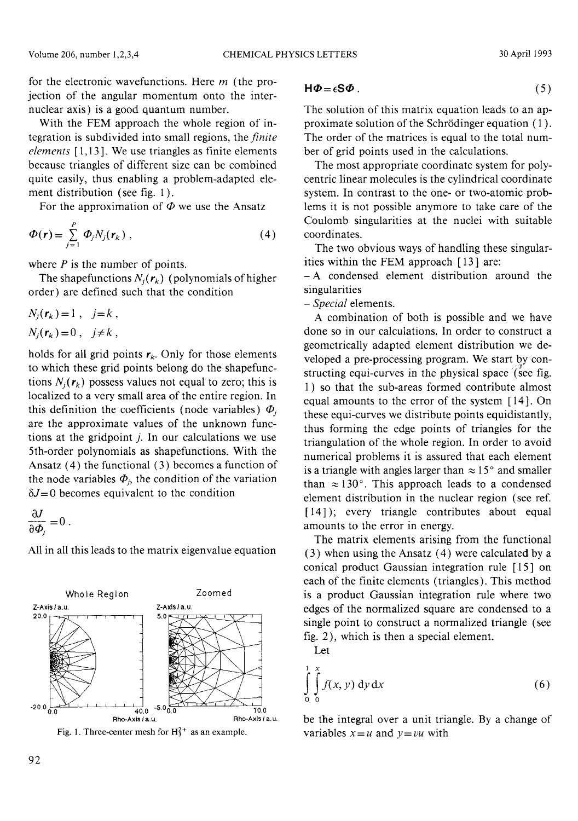With the FEM approach the whole region of integration is subdivided into small regions, the *finite elements* [1,13]. We use triangles as finite elements because triangles of different size can be combined quite easily, thus enabling a problem-adapted element distribution (see fig. 1).

For the approximation of  $\Phi$  we use the Ansatz

$$
\Phi(\mathbf{r}) = \sum_{j=1}^{P} \Phi_j N_j(\mathbf{r}_k) , \qquad (4)
$$

where *P* is the number of points.

The shapefunctions  $N_i(r_k)$  (polynomials of higher order) are defined such that the condition

$$
N_j(\mathbf{r}_k) = 1 , j = k ,
$$
  

$$
N_j(\mathbf{r}_k) = 0 , j \neq k ,
$$

holds for all grid points  $r_k$ . Only for those elements to which these grid points belong do the shapefunctions  $N_i(r_k)$  possess values not equal to zero; this is localized to a very small area of the entire region. In this definition the coefficients (node variables)  $\Phi_i$ are the approximate values of the unknown functions at the gridpoint j. In our calculations we use 5th-order polynomials as shapefunctions. With the Ansatz (4) the functional (3) becomes a function of the node variables  $\Phi_j$ , the condition of the variation  $\delta J = 0$  becomes equivalent to the condition

$$
\frac{\partial J}{\partial \Phi_j} = 0 \; .
$$

All in all this leads to the matrix eigenvalue equation





$$
H\Phi = \epsilon S\Phi \tag{5}
$$

The solution of this matrix equation leads to an approximate solution of the Schrödinger equation (1 ). The order of the matrices is equal to the total number of grid points used in the calculations.

The most appropriate coordinate system for polycentric linear molecules is the cylindrical coordinate system. In contrast to the one- or two-atomic problems it is not possible anymore to take care of the Coulomb singularities at the nuclei with suitable coordinates.

The two obvious ways of handling these singularities within the FEM approach [13] are:

- A condensed element distribution around the singularities

*- Special* elements.

A combination of both is possible and we have done so in our calculations. In order to construct a geometrically adapted element distribution we developed a pre-processing program. We start by constructing equi-curves in the physical space /(see fig. 1) so that the sub-areas formed contribute almost equal amounts to the error of the system [14]. On these equi-curves we distribute points equidistantly, thus forming the edge points of triangles for the triangulation of the whole region. In order to avoid numerical problems it is assured that each element is a triangle with angles larger than  $\approx 15^{\circ}$  and smaller than  $\approx 130^\circ$ . This approach leads to a condensed element distribution in the nuclear region (see ref. [14]); every triangle contributes about equal amounts to the error in energy.

The matrix elements arising from the functional (3) when using the Ansatz (4) were calculated by a conical product Gaussian integration rule [15] on each of the finite elements (triangles). This method is a product Gaussian integration rule where two edges of the normalized square are condensed to a single point to construct a normalized triangle (see fig. 2), which is then a special element.

Let

$$
\int_{0}^{1} \int_{0}^{x} f(x, y) \, \mathrm{d}y \, \mathrm{d}x \tag{6}
$$

be the integral over a unit triangle. By a change of variables  $x=u$  and  $y=vu$  with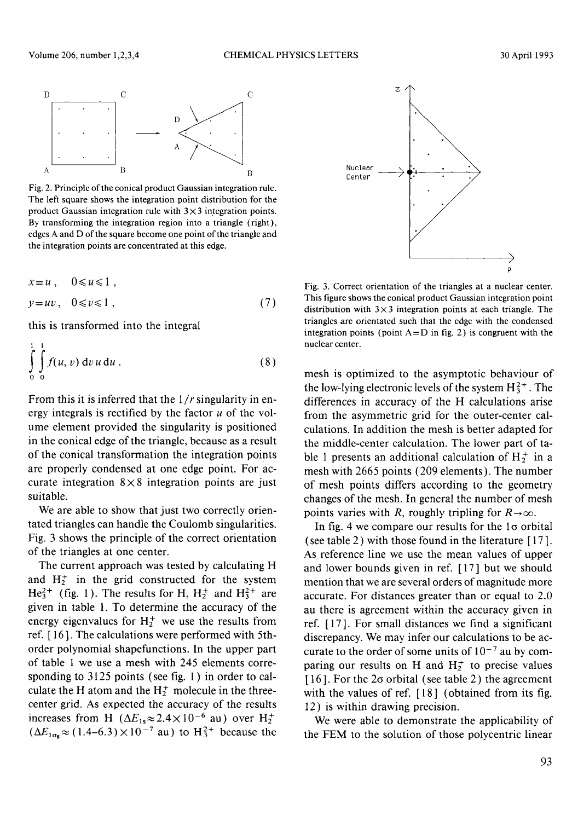

Fig. 2. Principle of the conical product Gaussian integration rule. The left square shows the integration point distribution for the product Gaussian integration rule with  $3 \times 3$  integration points. By transforming the integration region into a triangle (right), edges A and D of the square become one point of the triangle and the integration points are concentrated at this edge.

$$
x = u, \quad 0 \le u \le 1,
$$
  

$$
y = uv, \quad 0 \le v \le 1,
$$
 (7)

this is transformed into the integral

1 1

$$
\int_{0}^{1} \int_{0}^{1} f(u, v) dv u du.
$$
 (8)

From this it is inferred that the 1/*r*singularity in energy integrals is rectified by the factor  $u$  of the volume element provided the singularity is positioned in the conical edge of the triangle, because as a result of the conical transformation the integration points are properly condensed atone edge point. For accurate integration  $8 \times 8$  integration points are just suitable.

We are able to show that just two correctly orientated triangles can handle the Coulomb singularities. Fig. 3 shows the principle of the correct orientation of the triangles at one center.

The current approach was tested by calculating H and  $H_2^+$  in the grid constructed for the system  $He_3^{2+}$  (fig. 1). The results for H,  $H_2^+$  and  $H_3^{2+}$  are given in table 1. To determine the accuracy of the energy eigenvalues for  $H_2^+$  we use the results from ref. [16]. The calculations were performed with 5thorder polynomial shapefunctions. In the upper part of table 1 we use a mesh with 245 elements corresponding to 3125 points (see fig. 1) in order to calculate the H atom and the  $H_2^+$  molecule in the threecenter grid. As expected the accuracy of the results increases from H  $(\Delta E_{1s} \approx 2.4 \times 10^{-6}$  au) over  $H_2^+$  $(\Delta E_{1\sigma_{\rm g}} \approx (1.4-6.3)\times 10^{-7}$  au) to  $\rm{H_3^{2+}}$  because the



Fig. 3. Correct orientation of the triangles at a nuclear center. This figure shows the conical product Gaussian integration point distribution with  $3\times3$  integration points at each triangle. The triangles are orientated such that the edge with the condensed integration points (point  $A=D$  in fig. 2) is congruent with the nuclear center.

mesh is optimized to the asymptotic behaviour of the low-lying electronic levels of the system  $H_3^{2+}$ . The differences in accuracy of the H calculations arise from the asymmetric grid for the outer-center calculations. In addition the mesh is better adapted for the middle-center calculation. The lower part of table 1 presents an additional calculation of  $H_2^+$  in a mesh with 2665 points (209 elements). The number of mesh points differs according to the geometry changes of the mesh. In general the number of mesh points varies with *R*, roughly tripling for  $R\rightarrow\infty$ .

In fig. 4 we compare our results for the  $1\sigma$  orbital (see table 2) with those found in the literature  $[17]$ . As reference line we use the mean values of upper and lower bounds given in ref. [17] but we should mention that we are several orders of magnitude more accurate. For distances greater than or equal to 2.0 au there is agreement within the accuracy given in ref. [17]. For small distances we find a significant discrepancy. We may infer our calculations to be accurate to the order of some units of  $10^{-7}$  au by comparing our results on H and  $H_2^+$  to precise values [ $16$ ]. For the  $2\sigma$  orbital (see table 2) the agreement with the values of ref. [18] (obtained from its fig. 12) is within drawing precision.

We were able to demonstrate the applicability of the FEM to the solution of those polycentric linear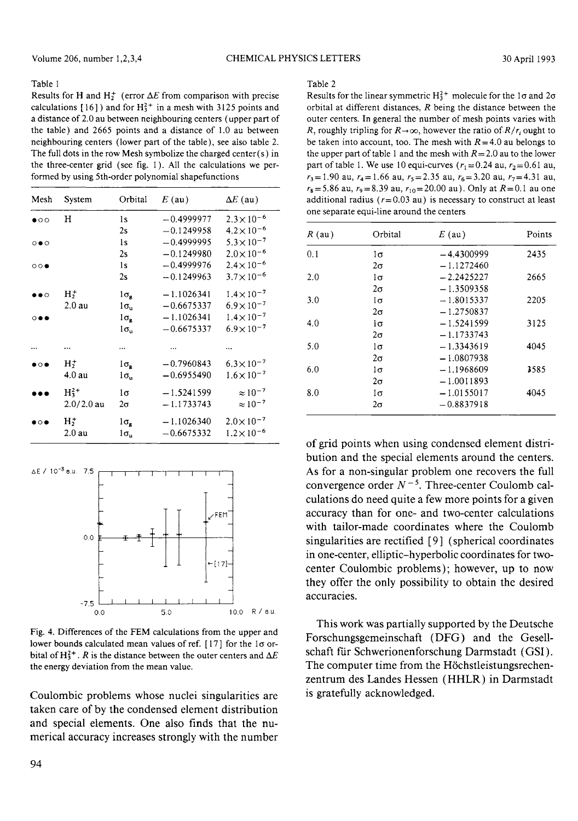## Table 1

Results for H and  $H_2^+$  (error  $\Delta E$  from comparison with precise calculations  $[16]$  and for  $H_3^{2+}$  in a mesh with 3125 points and a distance of 2.0 au between neighbouring centers (upper part of the table) and 2665 points and a distance of 1.0 au between neighbouring centers (lower part of the table), see also table 2. The full dots in the row Mesh symbolize the charged center (s) in the three-center grid (see fig. 1). All the calculations we performed by using 5th-order polynomial shapefunctions

| Mesh                        | System                               | Orbital                                 | $E$ (au)                     | $\Delta E$ (au)                              |
|-----------------------------|--------------------------------------|-----------------------------------------|------------------------------|----------------------------------------------|
| $\bullet$ 00                | H                                    | 1s<br>2s                                | $-0.4999977$<br>$-0.1249958$ | $2.3 \times 10^{-6}$<br>$4.2 \times 10^{-6}$ |
| $\circ \bullet \circ$       |                                      | 1s<br>2s                                | $-0.4999995$<br>$-0.1249980$ | $5.3 \times 10^{-7}$<br>$2.0 \times 10^{-6}$ |
| $\circ \circ \bullet$       |                                      | 1s<br>2s                                | $-0.4999976$<br>$-0.1249963$ | $2.4 \times 10^{-6}$<br>$3.7 \times 10^{-6}$ |
| $\bullet\bullet\circ$       | $H+$<br>$2.0 \text{ au}$             | $1\sigma_{\rm g}$<br>lσ,                | $-1.1026341$<br>$-0.6675337$ | $1.4 \times 10^{-7}$<br>$6.9 \times 10^{-7}$ |
| $\circ\bullet\bullet$       |                                      | $1σ_2$<br>$1\sigma_{\rm n}$             | $-1.1026341$<br>$-0.6675337$ | $1.4 \times 10^{-7}$<br>$6.9 \times 10^{-7}$ |
|                             |                                      | $\cdots$                                |                              |                                              |
| $\bullet$ $\circ$ $\bullet$ | $H_2^+$<br>$4.0 \text{ au}$          | $1\sigma_{\alpha}$<br>$1\sigma_{\rm u}$ | $-0.7960843$<br>$-0.6955490$ | $6.3 \times 10^{-7}$<br>$1.6 \times 10^{-7}$ |
|                             | $H_3^2$ <sup>+</sup><br>$2.0/2.0$ au | lσ<br>2σ                                | $-1.5241599$<br>$-1.1733743$ | $\approx 10^{-7}$<br>$\approx 10^{-7}$       |
| $\bullet$ $\circ$ $\bullet$ | $H_2^+$<br>$2.0 \text{ au}$          | $1\sigma_{\rm e}$<br>$1\sigma_{\rm n}$  | $-1.1026340$<br>$-0.6675332$ | $2.0 \times 10^{-7}$<br>$1.2 \times 10^{-6}$ |



Fig. 4. Differences of the FEM calculations from the upper and lower bounds calculated mean values of ref.  $[17]$  for the 1 $\sigma$  orbital of H<sup>2+</sup>. R is the distance between the outer centers and  $\Delta E$ the energy deviation from the mean value.

Coulombic problems whose nuclei singularities are taken care of by the condensed element distribution and special elements. One also finds that the numerical accuracy increases strongly with the number

## Table 2

Results for the linear symmetric  $H_3^{2+}$  molecule for the 1 $\sigma$  and 2 $\sigma$ orbital at different distances, *R* being the distance between the outer centers. In general the number of mesh points varies with R, roughly tripling for  $R\rightarrow\infty$ , however the ratio of  $R/r_i$  ought to be taken into account, too. The mesh with  $R = 4.0$  au belongs to the upper part of table 1 and the mesh with  $R = 2.0$  au to the lower part of table 1. We use 10 equi-curves ( $r_1 = 0.24$  au,  $r_2 = 0.61$  au,  $r_3$ = 1.90 au,  $r_4$ = 1.66 au,  $r_5$ = 2.35 au,  $r_6$ = 3.20 au,  $r_7$ = 4.31 au,  $r_8 = 5.86$  au,  $r_9 = 8.39$  au,  $r_{10} = 20.00$  au). Only at  $R = 0.1$  au one additional radius ( $r = 0.03$  au) is necessary to construct at least one separate equi-line around the centers

| $R$ (au) | Orbital   | $E$ (au)     | Points |
|----------|-----------|--------------|--------|
| 0.1      | 1σ        | $-4.4300999$ | 2435   |
|          | $2\sigma$ | $-1.1272460$ |        |
| 2.0      | ìσ        | $-2.2425227$ | 2665   |
|          | $2\sigma$ | $-1.3509358$ |        |
| 3.0      | $1\sigma$ | $-1.8015337$ | 2205   |
|          | 2σ        | $-1.2750837$ |        |
| 4.0      | $1\sigma$ | $-1.5241599$ | 3125   |
|          | 2σ        | $-1.1733743$ |        |
| 5.0      | $1\sigma$ | $-1.3343619$ | 4045   |
|          | $2\sigma$ | $-1.0807938$ |        |
| 6.0      | $1\sigma$ | $-1.1968609$ | 3585   |
|          | $2\sigma$ | $-1.0011893$ |        |
| 8.0      | $1\sigma$ | $-1.0155017$ | 4045   |
|          | $2\sigma$ | $-0.8837918$ |        |

of grid points when using condensed element distribution and the special elements around the centers. As for a non-singular problem one recovers the full convergence order  $N^{-5}$ . Three-center Coulomb calculations do need quite a few more points for a given accuracy than for one- and two-center calculations with tailor-made coordinates where the Coulomb singularities are rectified [9] (spherical coordinates in one-center, elliptic-hyperbolic coordinates for twocenter Coulombic problems); however, up to now they offer the only possibility to obtain the desired accuracies.

This work was partially supported by the Deutsche Forschungsgemeinschaft (DFG) and the Gesellschaft für Schwerionenforschung Darmstadt (GSI). The computer time from the Höchstleistungsrechenzentrum des Landes Hessen (HHLR) in Darmstadt is gratefully acknowledged.